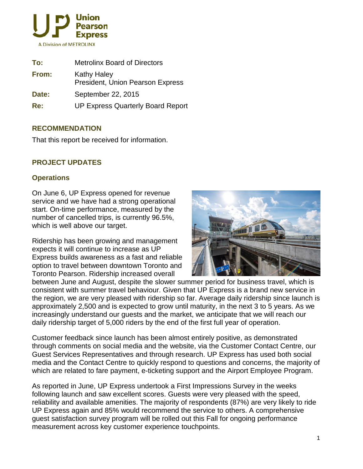

| To:   | <b>Metrolinx Board of Directors</b>                    |
|-------|--------------------------------------------------------|
| From: | <b>Kathy Haley</b><br>President, Union Pearson Express |
| Date: | September 22, 2015                                     |
| Re:   | <b>UP Express Quarterly Board Report</b>               |

### **RECOMMENDATION**

That this report be received for information.

## **PROJECT UPDATES**

### **Operations**

On June 6, UP Express opened for revenue service and we have had a strong operational start. On-time performance, measured by the number of cancelled trips, is currently 96.5%, which is well above our target.

Ridership has been growing and management expects it will continue to increase as UP Express builds awareness as a fast and reliable option to travel between downtown Toronto and Toronto Pearson. Ridership increased overall



between June and August, despite the slower summer period for business travel, which is consistent with summer travel behaviour. Given that UP Express is a brand new service in the region, we are very pleased with ridership so far. Average daily ridership since launch is approximately 2,500 and is expected to grow until maturity, in the next 3 to 5 years. As we increasingly understand our guests and the market, we anticipate that we will reach our daily ridership target of 5,000 riders by the end of the first full year of operation.

Customer feedback since launch has been almost entirely positive, as demonstrated through comments on social media and the website, via the Customer Contact Centre, our Guest Services Representatives and through research. UP Express has used both social media and the Contact Centre to quickly respond to questions and concerns, the majority of which are related to fare payment, e-ticketing support and the Airport Employee Program.

As reported in June, UP Express undertook a First Impressions Survey in the weeks following launch and saw excellent scores. Guests were very pleased with the speed, reliability and available amenities. The majority of respondents (87%) are very likely to ride UP Express again and 85% would recommend the service to others. A comprehensive guest satisfaction survey program will be rolled out this Fall for ongoing performance measurement across key customer experience touchpoints.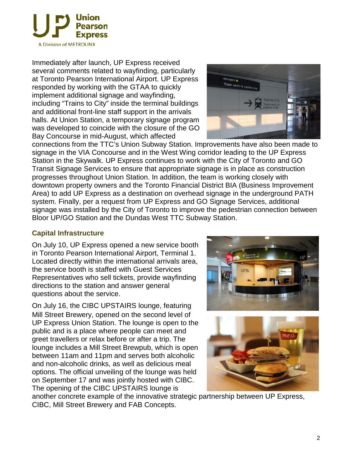

Immediately after launch, UP Express received several comments related to wayfinding, particularly at Toronto Pearson International Airport. UP Express responded by working with the GTAA to quickly implement additional signage and wayfinding, including "Trains to City" inside the terminal buildings and additional front-line staff support in the arrivals halls. At Union Station, a temporary signage program was developed to coincide with the closure of the GO Bay Concourse in mid-August, which affected



connections from the TTC's Union Subway Station. Improvements have also been made to signage in the VIA Concourse and in the West Wing corridor leading to the UP Express Station in the Skywalk. UP Express continues to work with the City of Toronto and GO Transit Signage Services to ensure that appropriate signage is in place as construction progresses throughout Union Station. In addition, the team is working closely with downtown property owners and the Toronto Financial District BIA (Business Improvement Area) to add UP Express as a destination on overhead signage in the underground PATH system. Finally, per a request from UP Express and GO Signage Services, additional signage was installed by the City of Toronto to improve the pedestrian connection between Bloor UP/GO Station and the Dundas West TTC Subway Station.

### **Capital Infrastructure**

On July 10, UP Express opened a new service booth in Toronto Pearson International Airport, Terminal 1. Located directly within the international arrivals area, the service booth is staffed with Guest Services Representatives who sell tickets, provide wayfinding directions to the station and answer general questions about the service.

On July 16, the CIBC UPSTAIRS lounge, featuring Mill Street Brewery, opened on the second level of UP Express Union Station. The lounge is open to the public and is a place where people can meet and greet travellers or relax before or after a trip. The lounge includes a Mill Street Brewpub, which is open between 11am and 11pm and serves both alcoholic and non-alcoholic drinks, as well as delicious meal options. The official unveiling of the lounge was held on September 17 and was jointly hosted with CIBC. The opening of the CIBC UPSTAIRS lounge is





another concrete example of the innovative strategic partnership between UP Express, CIBC, Mill Street Brewery and FAB Concepts.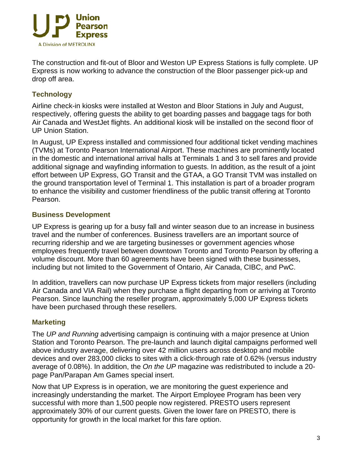

The construction and fit-out of Bloor and Weston UP Express Stations is fully complete. UP Express is now working to advance the construction of the Bloor passenger pick-up and drop off area.

# **Technology**

Airline check-in kiosks were installed at Weston and Bloor Stations in July and August, respectively, offering guests the ability to get boarding passes and baggage tags for both Air Canada and WestJet flights. An additional kiosk will be installed on the second floor of UP Union Station.

In August, UP Express installed and commissioned four additional ticket vending machines (TVMs) at Toronto Pearson International Airport. These machines are prominently located in the domestic and international arrival halls at Terminals 1 and 3 to sell fares and provide additional signage and wayfinding information to guests. In addition, as the result of a joint effort between UP Express, GO Transit and the GTAA, a GO Transit TVM was installed on the ground transportation level of Terminal 1. This installation is part of a broader program to enhance the visibility and customer friendliness of the public transit offering at Toronto Pearson.

## **Business Development**

UP Express is gearing up for a busy fall and winter season due to an increase in business travel and the number of conferences. Business travellers are an important source of recurring ridership and we are targeting businesses or government agencies whose employees frequently travel between downtown Toronto and Toronto Pearson by offering a volume discount. More than 60 agreements have been signed with these businesses, including but not limited to the Government of Ontario, Air Canada, CIBC, and PwC.

In addition, travellers can now purchase UP Express tickets from major resellers (including Air Canada and VIA Rail) when they purchase a flight departing from or arriving at Toronto Pearson. Since launching the reseller program, approximately 5,000 UP Express tickets have been purchased through these resellers.

## **Marketing**

The *UP and Running* advertising campaign is continuing with a major presence at Union Station and Toronto Pearson. The pre-launch and launch digital campaigns performed well above industry average, delivering over 42 million users across desktop and mobile devices and over 283,000 clicks to sites with a click-through rate of 0.62% (versus industry average of 0.08%). In addition, the *On the UP* magazine was redistributed to include a 20 page Pan/Parapan Am Games special insert.

Now that UP Express is in operation, we are monitoring the guest experience and increasingly understanding the market. The Airport Employee Program has been very successful with more than 1,500 people now registered. PRESTO users represent approximately 30% of our current guests. Given the lower fare on PRESTO, there is opportunity for growth in the local market for this fare option.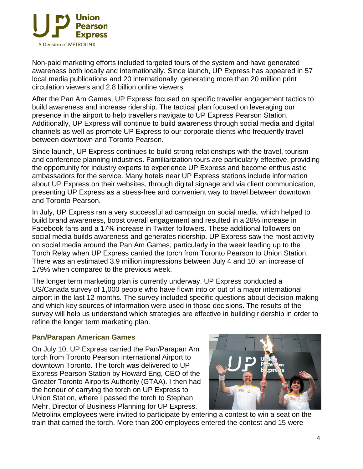

Non-paid marketing efforts included targeted tours of the system and have generated awareness both locally and internationally. Since launch, UP Express has appeared in 57 local media publications and 20 internationally, generating more than 20 million print circulation viewers and 2.8 billion online viewers.

After the Pan Am Games, UP Express focused on specific traveller engagement tactics to build awareness and increase ridership. The tactical plan focused on leveraging our presence in the airport to help travellers navigate to UP Express Pearson Station. Additionally, UP Express will continue to build awareness through social media and digital channels as well as promote UP Express to our corporate clients who frequently travel between downtown and Toronto Pearson.

Since launch, UP Express continues to build strong relationships with the travel, tourism and conference planning industries. Familiarization tours are particularly effective, providing the opportunity for industry experts to experience UP Express and become enthusiastic ambassadors for the service. Many hotels near UP Express stations include information about UP Express on their websites, through digital signage and via client communication, presenting UP Express as a stress-free and convenient way to travel between downtown and Toronto Pearson.

In July, UP Express ran a very successful ad campaign on social media, which helped to build brand awareness, boost overall engagement and resulted in a 28% increase in Facebook fans and a 17% increase in Twitter followers. These additional followers on social media builds awareness and generates ridership. UP Express saw the most activity on social media around the Pan Am Games, particularly in the week leading up to the Torch Relay when UP Express carried the torch from Toronto Pearson to Union Station. There was an estimated 3.9 million impressions between July 4 and 10: an increase of 179% when compared to the previous week.

The longer term marketing plan is currently underway. UP Express conducted a US/Canada survey of 1,000 people who have flown into or out of a major international airport in the last 12 months. The survey included specific questions about decision-making and which key sources of information were used in those decisions. The results of the survey will help us understand which strategies are effective in building ridership in order to refine the longer term marketing plan.

#### **Pan/Parapan American Games**

On July 10, UP Express carried the Pan/Parapan Am torch from Toronto Pearson International Airport to downtown Toronto. The torch was delivered to UP Express Pearson Station by Howard Eng, CEO of the Greater Toronto Airports Authority (GTAA). I then had the honour of carrying the torch on UP Express to Union Station, where I passed the torch to Stephan Mehr, Director of Business Planning for UP Express.



Metrolinx employees were invited to participate by entering a contest to win a seat on the train that carried the torch. More than 200 employees entered the contest and 15 were